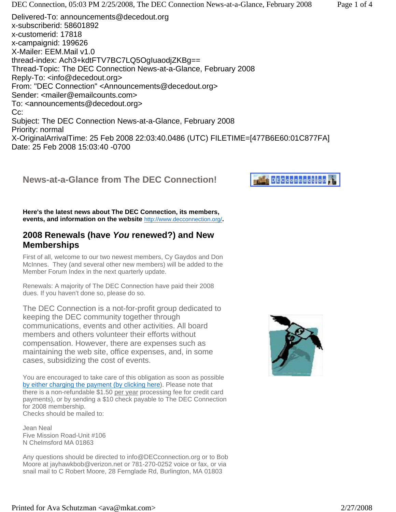X-OriginalArrivalTime: 25 Feb 2008 22:03:40.0486 (UTC) FILETIME=[477B6E60:01C877FA] Date: 25 Feb 2008 15:03:40 -0700

### **News-at-a-Glance from The DEC Connection!**

**Here's the latest news about The DEC Connection, its members, events, and information on the website** http://www.decconnection.org/**.**

### **2008 Renewals (have** *You* **renewed?) and New Memberships**

First of all, welcome to our two newest members, Cy Gaydos and Don McInnes. They (and several other new members) will be added to the Member Forum Index in the next quarterly update.

Renewals: A majority of The DEC Connection have paid their 2008 dues. If you haven't done so, please do so.

The DEC Connection is a not-for-profit group dedicated to keeping the DEC community together through communications, events and other activities. All board members and others volunteer their efforts without compensation. However, there are expenses such as maintaining the web site, office expenses, and, in some cases, subsidizing the cost of events.

You are encouraged to take care of this obligation as soon as possible by either charging the payment (by clicking here). Please note that there is a non-refundable \$1.50 per year processing fee for credit card payments), or by sending a \$10 check payable to The DEC Connection for 2008 membership. Checks should be mailed to:

Jean Neal Five Mission Road-Unit #106 N Chelmsford MA 01863

Any questions should be directed to info@DECconnection.org or to Bob Moore at jayhawkbob@verizon.net or 781-270-0252 voice or fax, or via snail mail to C Robert Moore, 28 Fernglade Rd, Burlington, MA 01803



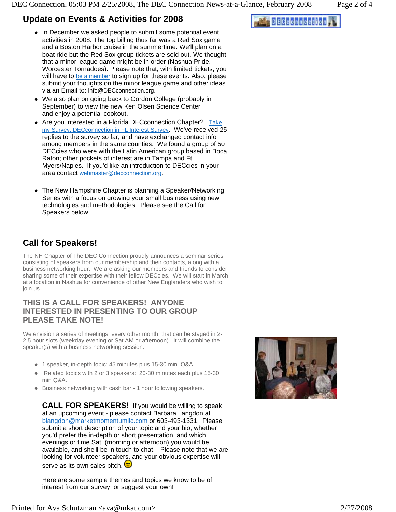### **Update on Events & Activities for 2008**

- In December we asked people to submit some potential event activities in 2008. The top billing thus far was a Red Sox game and a Boston Harbor cruise in the summertime. We'll plan on a boat ride but the Red Sox group tickets are sold out. We thought that a minor league game might be in order (Nashua Pride, Worcester Tornadoes). Please note that, with limited tickets, you will have to be a member to sign up for these events. Also, please submit your thoughts on the minor league game and other ideas via an Email to: info@DECconnection.org.
- We also plan on going back to Gordon College (probably in September) to view the new Ken Olsen Science Center and enjoy a potential cookout.
- Are you interested in a Florida DECconnection Chapter? Take my Survey: DECconnection in FL Interest Survey. We've received 25 replies to the survey so far, and have exchanged contact info among members in the same counties. We found a group of 50 DECcies who were with the Latin American group based in Boca Raton; other pockets of interest are in Tampa and Ft. Myers/Naples. If you'd like an introduction to DECcies in your area contact webmaster@decconnection.org.
- The New Hampshire Chapter is planning a Speaker/Networking Series with a focus on growing your small business using new technologies and methodologies. Please see the Call for Speakers below.

# **Call for Speakers!**

The NH Chapter of The DEC Connection proudly announces a seminar series consisting of speakers from our membership and their contacts, along with a business networking hour. We are asking our members and friends to consider sharing some of their expertise with their fellow DECcies. We will start in March at a location in Nashua for convenience of other New Englanders who wish to join us.

#### **THIS IS A CALL FOR SPEAKERS! ANYONE INTERESTED IN PRESENTING TO OUR GROUP PLEASE TAKE NOTE!**

We envision a series of meetings, every other month, that can be staged in 2- 2.5 hour slots (weekday evening or Sat AM or afternoon). It will combine the speaker(s) with a business networking session.

- 1 speaker, in-depth topic: 45 minutes plus 15-30 min. Q&A.
- Related topics with 2 or 3 speakers: 20-30 minutes each plus 15-30 min Q&A.
- Business networking with cash bar 1 hour following speakers.

**CALL FOR SPEAKERS!** If you would be willing to speak at an upcoming event - please contact Barbara Langdon at blangdon@marketmomentumllc.com or 603-493-1331. Please submit a short description of your topic and your bio, whether you'd prefer the in-depth or short presentation, and which evenings or time Sat. (morning or afternoon) you would be available, and she'll be in touch to chat. Please note that we are looking for volunteer speakers, and your obvious expertise will serve as its own sales pitch.

Here are some sample themes and topics we know to be of interest from our survey, or suggest your own!



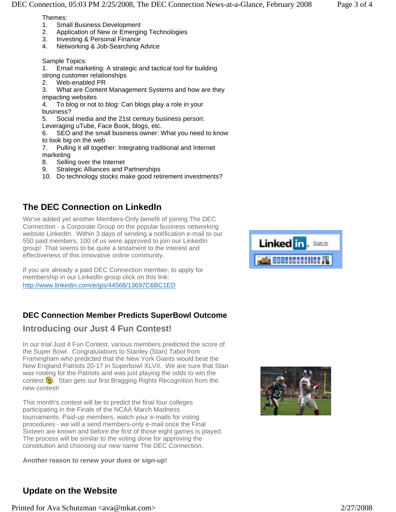Themes:

- 1. Small Business Development<br>2. Application of New or Emergin
- Application of New or Emerging Technologies
- 3. Investing & Personal Finance
- 4. Networking & Job-Searching Advice

Sample Topics:

1. Email marketing: A strategic and tactical tool for building strong customer relationships

2. Web-enabled PR

3. What are Content Management Systems and how are they impacting websites

4. To blog or not to blog: Can blogs play a role in your business?

5. Social media and the 21st century business person: Leveraging uTube, Face Book, blogs, etc.

6. SEO and the small business owner: What you need to know to look big on the web

7. Pulling it all together: Integrating traditional and Internet marketing

- 8. Selling over the Internet
- 9. Strategic Alliances and Partnerships
- 10. Do technology stocks make good retirement investments?

# **The DEC Connection on LinkedIn**

We've added yet another Members-Only benefit of joining The DEC Connection - a Corporate Group on the popular business networking website LinkedIn. Within 3 days of sending a notification e-mail to our 550 paid members, 100 of us were approved to join our LinkedIn group! That seems to be quite a testament to the interest and effectiveness of this innovative online community.

If you are already a paid DEC Connection member, to apply for membership in our LinkedIn group click on this link: http://www.linkedin.com/e/gis/44568/13697C6BC1ED

## **DEC Connection Member Predicts SuperBowl Outcome**

### **Introducing our Just 4 Fun Contest!**

In our trial Just 4 Fun Contest, various members predicted the score of the Super Bowl. Congratulations to Stanley (Stan) Tabol from Framingham who predicted that the New York Giants would beat the New England Patriots 20-17 in Superbowl XLVII. We are sure that Stan was rooting for the Patriots and was just playing the odds to win the contest  $\blacksquare$  Stan gets our first Bragging Rights Recognition from the new contest!

This month's contest will be to predict the final four colleges participating in the Finals of the NCAA March Madness tournaments. Paid-up members, watch your e-mails for voting procedures - we will a send members-only e-mail once the Final Sixteen are known and before the first of those eight games is played. The process will be similar to the voting done for approving the constitution and choosing our new name The DEC Connection.

**Another reason to renew your dues or sign-up!** 





## **Update on the Website**